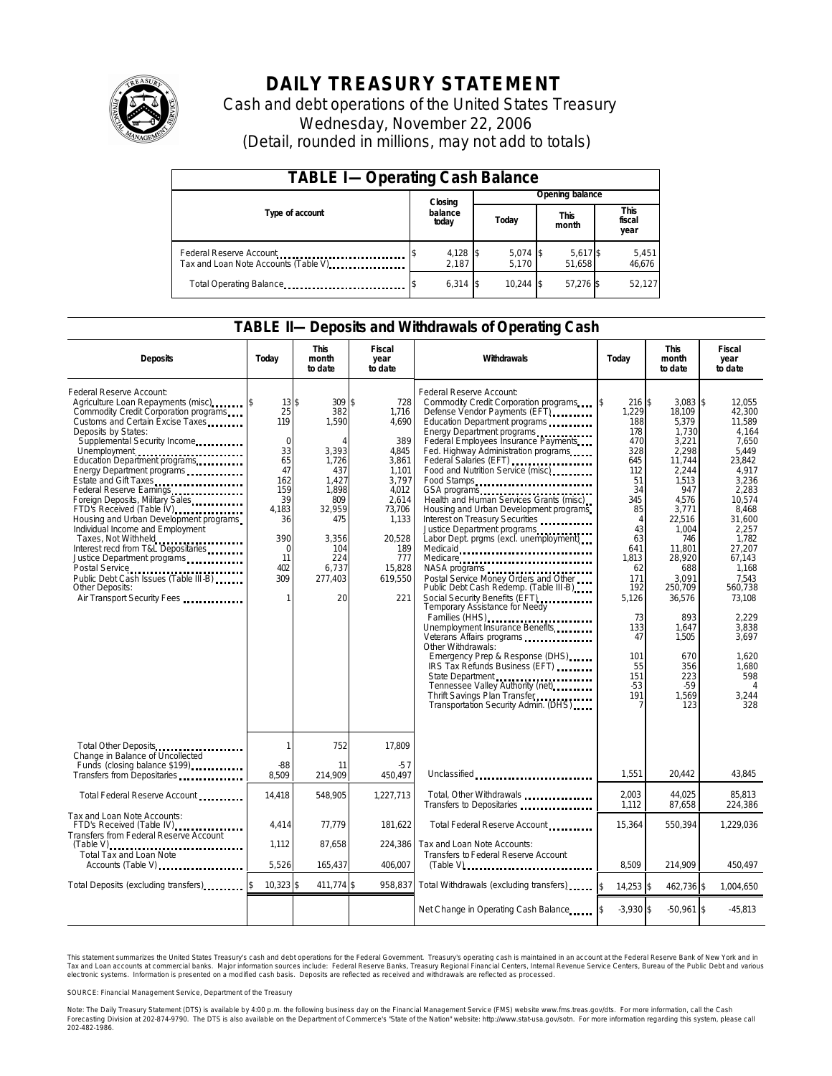

# **DAILY TREASURY STATEMENT**

Cash and debt operations of the United States Treasury Wednesday, November 22, 2006 (Detail, rounded in millions, may not add to totals)

| <b>TABLE I-Operating Cash Balance</b>                            |  |                   |                 |                               |  |                               |  |                 |  |  |
|------------------------------------------------------------------|--|-------------------|-----------------|-------------------------------|--|-------------------------------|--|-----------------|--|--|
|                                                                  |  | Closing           | Opening balance |                               |  |                               |  |                 |  |  |
| Type of account                                                  |  | balance<br>today  |                 | <b>This</b><br>Today<br>month |  | <b>This</b><br>fiscal<br>year |  |                 |  |  |
| Federal Reserve Account<br>Tax and Loan Note Accounts (Table V). |  | 4,128 \$<br>2.187 |                 | $5,074$ \$<br>5.170           |  | 5,617 \$<br>51.658            |  | 5,451<br>46,676 |  |  |
| Total Operating Balance                                          |  | $6.314$ \\$       |                 | $10.244$ \\$                  |  | 57.276 \$                     |  | 52,127          |  |  |

### **TABLE II—Deposits and Withdrawals of Operating Cash**

| <b>Deposits</b>                                                                                                                                                                                                                                                                                                                                                                                                                                                                                                                                                                                                                                                                                                         | Today                                                                                                                                              | <b>This</b><br>month<br>to date                                                                                                               | Fiscal<br>year<br>to date                                                                                                                                 | <b>Withdrawals</b>                                                                                                                                                                                                                                                                                                                                                                                                                                                                                                                                                                                                                                                                                                                                                                                                                                                                                                                                                                                                                               | Today                                                                                                                                                                                                                | <b>This</b><br>month<br>to date                                                                                                                                                                                                                                    |                                                                                                                                                                                                                                                                                                  |
|-------------------------------------------------------------------------------------------------------------------------------------------------------------------------------------------------------------------------------------------------------------------------------------------------------------------------------------------------------------------------------------------------------------------------------------------------------------------------------------------------------------------------------------------------------------------------------------------------------------------------------------------------------------------------------------------------------------------------|----------------------------------------------------------------------------------------------------------------------------------------------------|-----------------------------------------------------------------------------------------------------------------------------------------------|-----------------------------------------------------------------------------------------------------------------------------------------------------------|--------------------------------------------------------------------------------------------------------------------------------------------------------------------------------------------------------------------------------------------------------------------------------------------------------------------------------------------------------------------------------------------------------------------------------------------------------------------------------------------------------------------------------------------------------------------------------------------------------------------------------------------------------------------------------------------------------------------------------------------------------------------------------------------------------------------------------------------------------------------------------------------------------------------------------------------------------------------------------------------------------------------------------------------------|----------------------------------------------------------------------------------------------------------------------------------------------------------------------------------------------------------------------|--------------------------------------------------------------------------------------------------------------------------------------------------------------------------------------------------------------------------------------------------------------------|--------------------------------------------------------------------------------------------------------------------------------------------------------------------------------------------------------------------------------------------------------------------------------------------------|
| Federal Reserve Account:<br>Agriculture Loan Repayments (misc) [\$<br>Commodity Credit Corporation programs<br>Customs and Certain Excise Taxes<br>Deposits by States:<br>Supplemental Security Income<br>Unemployment<br>Education Department programs<br>Energy Department programs<br>Estate and Gift Taxes<br>Federal Reserve Earnings<br>Foreign Deposits, Military Sales<br>FTD's Received (Table IV) <b>[19]</b> FTD's Received (Table IV)<br>Housing and Urban Development programs<br>Individual Income and Employment<br>Taxes, Not Withheld<br>Interest recd from T&L Depositaries<br>Justice Department programs<br>Public Debt Cash Issues (Table III-B)<br>Other Deposits:<br>Air Transport Security Fees | $13$ \$<br>25<br>119<br>$\mathbf 0$<br>33<br>65<br>47<br>162<br>159<br>39<br>4,183<br>36<br>390<br>$\mathbf 0$<br>11<br>402<br>309<br>$\mathbf{1}$ | 309S<br>382<br>1,590<br>Δ<br>3,393<br>1,726<br>437<br>1.427<br>1.898<br>809<br>32,959<br>475<br>3,356<br>104<br>224<br>6.737<br>277.403<br>20 | 728<br>1,716<br>4,690<br>389<br>4,845<br>3,861<br>1.101<br>3.797<br>4,012<br>2,614<br>73,706<br>1,133<br>20,528<br>189<br>777<br>15.828<br>619.550<br>221 | Federal Reserve Account:<br>Commodity Credit Corporation programs \$<br>Defense Vendor Payments (EFT)<br>Education Department programs<br>Energy Department programs<br>Federal Employees Insurance Payments<br>Fed. Highway Administration programs<br>Federal Salaries (EFT)<br>Food and Nutrition Service (misc)<br>Food Stamps<br>Health and Human Services Grants (misc)<br>Housing and Urban Development programs<br>Interest on Treasury Securities<br>Justice Department programs<br>Labor Dept. prgms (excl. unemployment)<br>Medicaid<br>Medicare<br>NASA programs<br>Postal Service Money Orders and Other<br>Public Debt Cash Redemp. (Table III-B)<br>Social Security Benefits (EFT)<br>Temporary Assistance for Needy<br>Families (HHS)<br>Unemployment Insurance Benefits<br>Veterans Affairs programs<br>Other Withdrawals:<br>Emergency Prep & Response (DHS)<br>IRS Tax Refunds Business (EFT)<br>State Department<br>Tennessee Valley Authority (net)<br>Thrift Savings Plan Transfer<br>Transportation Security Admin. (DHS) | 216 \$<br>1,229<br>188<br>178<br>470<br>328<br>645<br>112<br>51<br>34<br>345<br>85<br>$\overline{4}$<br>43<br>63<br>641<br>1.813<br>62<br>171<br>192<br>5,126<br>73<br>133<br>47<br>101<br>55<br>151<br>$-53$<br>191 | 3.083<br>18,109<br>5,379<br>1,730<br>3,221<br>2,298<br>11,744<br>2,244<br>1.513<br>947<br>4,576<br>3,771<br>22,516<br>1.004<br>746<br>11.801<br>28.920<br>688<br>3.091<br>250,709<br>36,576<br>893<br>1,647<br>1.505<br>670<br>356<br>223<br>$-59$<br>1,569<br>123 | \$<br>12.055<br>42,300<br>11,589<br>4.164<br>7,650<br>5.449<br>23,842<br>4.917<br>3.236<br>2.283<br>10,574<br>8,468<br>31,600<br>2.257<br>1,782<br>27.207<br>67.143<br>1.168<br>7.543<br>560,738<br>73.108<br>2.229<br>3,838<br>3.697<br>1.620<br>1,680<br>598<br>$\overline{4}$<br>3,244<br>328 |
| Total Other Deposits<br>Change in Balance of Uncollected                                                                                                                                                                                                                                                                                                                                                                                                                                                                                                                                                                                                                                                                | $\mathbf{1}$                                                                                                                                       | 752                                                                                                                                           | 17.809                                                                                                                                                    |                                                                                                                                                                                                                                                                                                                                                                                                                                                                                                                                                                                                                                                                                                                                                                                                                                                                                                                                                                                                                                                  |                                                                                                                                                                                                                      |                                                                                                                                                                                                                                                                    |                                                                                                                                                                                                                                                                                                  |
| Funds (closing balance \$199)<br>Funds (closing balance \$199)<br>Transfers from Depositaries                                                                                                                                                                                                                                                                                                                                                                                                                                                                                                                                                                                                                           | $-88$<br>8,509                                                                                                                                     | 11<br>214,909                                                                                                                                 | $-57$<br>450.497                                                                                                                                          | Unclassified                                                                                                                                                                                                                                                                                                                                                                                                                                                                                                                                                                                                                                                                                                                                                                                                                                                                                                                                                                                                                                     | 1,551                                                                                                                                                                                                                | 20,442                                                                                                                                                                                                                                                             | 43,845                                                                                                                                                                                                                                                                                           |
| Total Federal Reserve Account                                                                                                                                                                                                                                                                                                                                                                                                                                                                                                                                                                                                                                                                                           | 14,418                                                                                                                                             | 548,905                                                                                                                                       | 1,227,713                                                                                                                                                 | Total, Other Withdrawals<br>Transfers to Depositaries                                                                                                                                                                                                                                                                                                                                                                                                                                                                                                                                                                                                                                                                                                                                                                                                                                                                                                                                                                                            | 2,003<br>1,112                                                                                                                                                                                                       | 44.025<br>87,658                                                                                                                                                                                                                                                   | 85.813<br>224.386                                                                                                                                                                                                                                                                                |
| Tax and Loan Note Accounts:<br>FTD's Received (Table IV)<br><br>Transfers from Federal Reserve Account                                                                                                                                                                                                                                                                                                                                                                                                                                                                                                                                                                                                                  | 4.414                                                                                                                                              | 77,779                                                                                                                                        | 181,622                                                                                                                                                   | Total Federal Reserve Account                                                                                                                                                                                                                                                                                                                                                                                                                                                                                                                                                                                                                                                                                                                                                                                                                                                                                                                                                                                                                    | 15,364                                                                                                                                                                                                               | 550,394                                                                                                                                                                                                                                                            | 1,229,036                                                                                                                                                                                                                                                                                        |
| <b>Total Tax and Loan Note</b><br>Accounts (Table V)                                                                                                                                                                                                                                                                                                                                                                                                                                                                                                                                                                                                                                                                    | 1,112<br>5.526                                                                                                                                     | 87,658<br>165,437                                                                                                                             | 224.386<br>406.007                                                                                                                                        | Tax and Loan Note Accounts:<br><b>Transfers to Federal Reserve Account</b>                                                                                                                                                                                                                                                                                                                                                                                                                                                                                                                                                                                                                                                                                                                                                                                                                                                                                                                                                                       | 8.509                                                                                                                                                                                                                | 214.909                                                                                                                                                                                                                                                            | 450.497                                                                                                                                                                                                                                                                                          |
| Total Deposits (excluding transfers)                                                                                                                                                                                                                                                                                                                                                                                                                                                                                                                                                                                                                                                                                    | $10,323$ \$                                                                                                                                        | 411,774 \$                                                                                                                                    | 958,837                                                                                                                                                   | Total Withdrawals (excluding transfers) 5                                                                                                                                                                                                                                                                                                                                                                                                                                                                                                                                                                                                                                                                                                                                                                                                                                                                                                                                                                                                        | $14,253$ \$                                                                                                                                                                                                          | 462,736 \$                                                                                                                                                                                                                                                         | 1,004,650                                                                                                                                                                                                                                                                                        |
|                                                                                                                                                                                                                                                                                                                                                                                                                                                                                                                                                                                                                                                                                                                         |                                                                                                                                                    |                                                                                                                                               |                                                                                                                                                           | Net Change in Operating Cash Balance                                                                                                                                                                                                                                                                                                                                                                                                                                                                                                                                                                                                                                                                                                                                                                                                                                                                                                                                                                                                             | $-3.930$ \$                                                                                                                                                                                                          | $-50.961$ \$                                                                                                                                                                                                                                                       | $-45.813$                                                                                                                                                                                                                                                                                        |

This statement summarizes the United States Treasury's cash and debt operations for the Federal Government. Treasury's operating cash is maintained in an account at the Federal Reserve Bank of New York and in Tax and Loan accounts at commercial banks. Major information sources include: Federal Reserve Banks, Treasury Regional Financial Centers, Internal Revenue Service Centers, Bureau of the Public Debt and various<br>electronic s

SOURCE: Financial Management Service, Department of the Treasury

Note: The Daily Treasury Statement (DTS) is available by 4:00 p.m. the following business day on the Financial Management Service (FMS) website www.fms.treas.gov/dts.<br>Forecasting Division at 202-874-9790. The DTS is also a 'S) is available by 4:00 p.m. the following business day on the Financial Management Service (FMS) website www.fms.treas.gov/dts. For more information, call the Cash<br>The DTS is also available on the Department of Commerce'